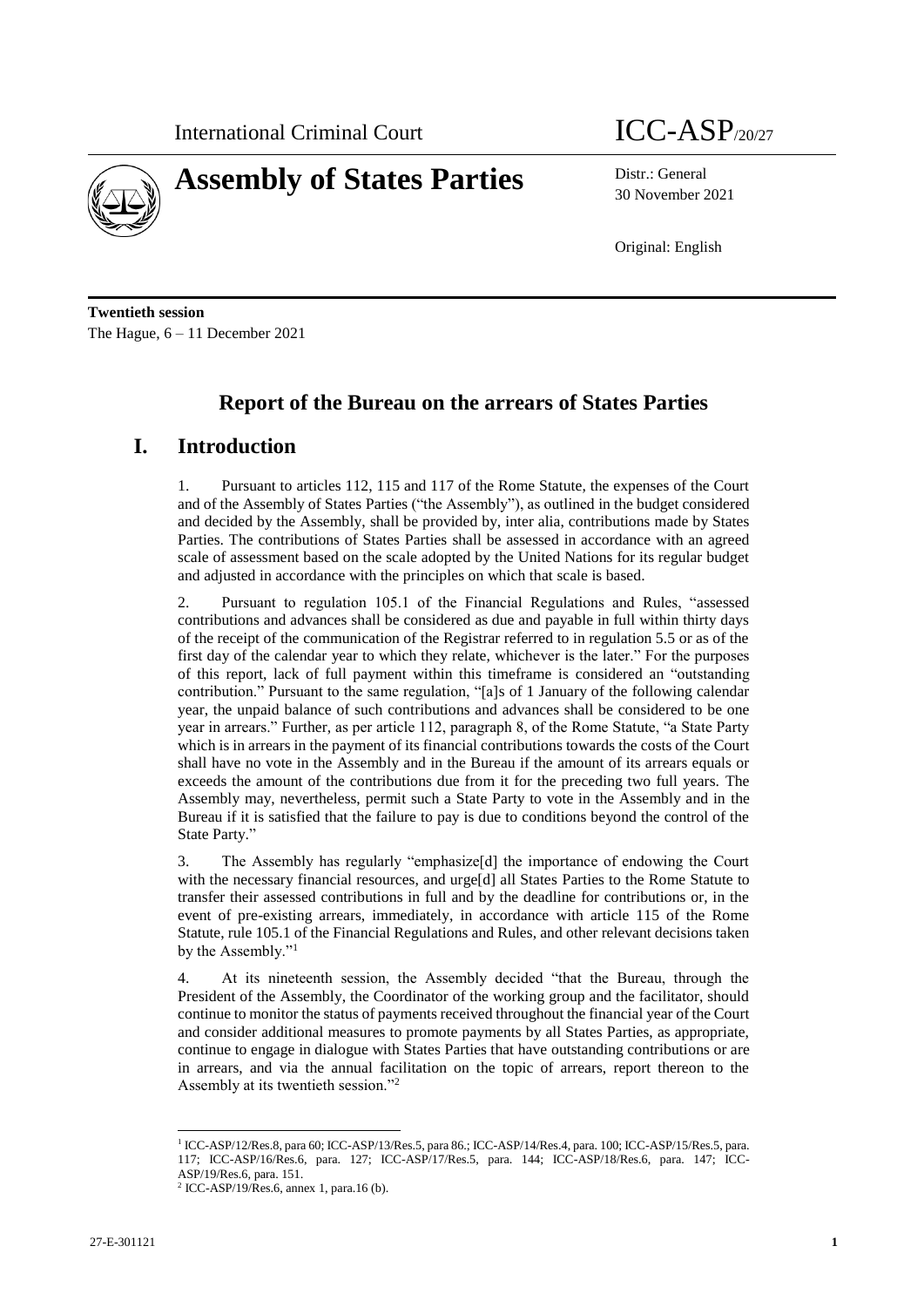

# **Assembly of States Parties** Distr.: General

30 November 2021

Original: English

**Twentieth session** The Hague, 6 – 11 December 2021

## **Report of the Bureau on the arrears of States Parties**

### **I. Introduction**

1. Pursuant to articles 112, 115 and 117 of the Rome Statute, the expenses of the Court and of the Assembly of States Parties ("the Assembly"), as outlined in the budget considered and decided by the Assembly, shall be provided by, inter alia, contributions made by States Parties. The contributions of States Parties shall be assessed in accordance with an agreed scale of assessment based on the scale adopted by the United Nations for its regular budget and adjusted in accordance with the principles on which that scale is based.

2. Pursuant to regulation 105.1 of the Financial Regulations and Rules, "assessed contributions and advances shall be considered as due and payable in full within thirty days of the receipt of the communication of the Registrar referred to in regulation 5.5 or as of the first day of the calendar year to which they relate, whichever is the later." For the purposes of this report, lack of full payment within this timeframe is considered an "outstanding contribution." Pursuant to the same regulation, "[a]s of 1 January of the following calendar year, the unpaid balance of such contributions and advances shall be considered to be one year in arrears." Further, as per article 112, paragraph 8, of the Rome Statute, "a State Party which is in arrears in the payment of its financial contributions towards the costs of the Court shall have no vote in the Assembly and in the Bureau if the amount of its arrears equals or exceeds the amount of the contributions due from it for the preceding two full years. The Assembly may, nevertheless, permit such a State Party to vote in the Assembly and in the Bureau if it is satisfied that the failure to pay is due to conditions beyond the control of the State Party."

3. The Assembly has regularly "emphasize[d] the importance of endowing the Court with the necessary financial resources, and urge<sup>[d]</sup> all States Parties to the Rome Statute to transfer their assessed contributions in full and by the deadline for contributions or, in the event of pre-existing arrears, immediately, in accordance with article 115 of the Rome Statute, rule 105.1 of the Financial Regulations and Rules, and other relevant decisions taken by the Assembly."<sup>1</sup>

4. At its nineteenth session, the Assembly decided "that the Bureau, through the President of the Assembly, the Coordinator of the working group and the facilitator, should continue to monitor the status of payments received throughout the financial year of the Court and consider additional measures to promote payments by all States Parties, as appropriate, continue to engage in dialogue with States Parties that have outstanding contributions or are in arrears, and via the annual facilitation on the topic of arrears, report thereon to the Assembly at its twentieth session."<sup>2</sup>

<sup>1</sup> ICC-ASP/12/Res.8, para 60; ICC-ASP/13/Res.5, para 86.; ICC-ASP/14/Res.4, para. 100; ICC-ASP/15/Res.5, para. 117; ICC-ASP/16/Res.6, para. 127; ICC-ASP/17/Res.5, para. 144; ICC-ASP/18/Res.6, para. 147; ICC-ASP/19/Res.6, para. 151.

<sup>2</sup> ICC-ASP/19/Res.6, annex 1, para.16 (b).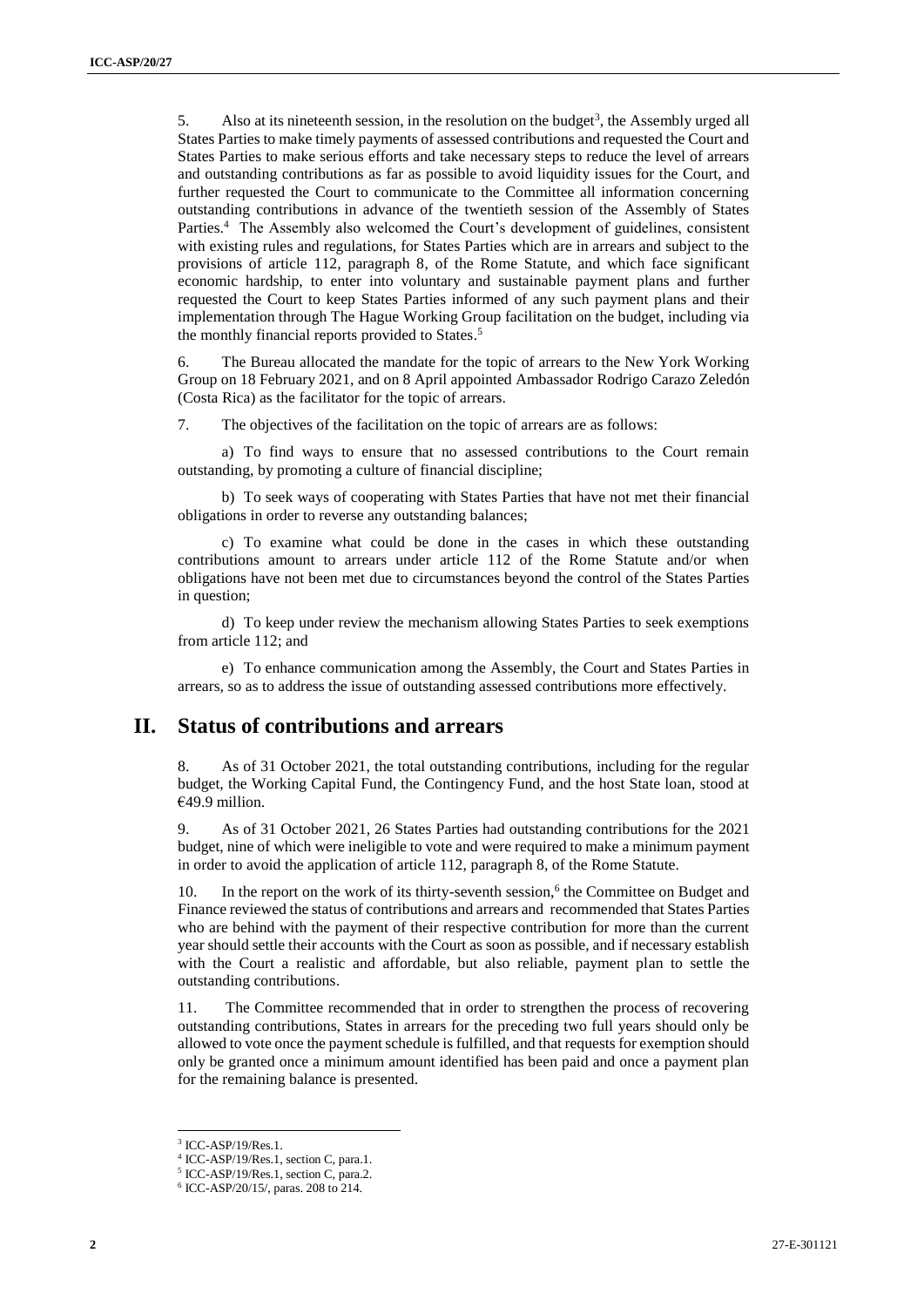5. Also at its nineteenth session, in the resolution on the budget<sup>3</sup>, the Assembly urged all States Parties to make timely payments of assessed contributions and requested the Court and States Parties to make serious efforts and take necessary steps to reduce the level of arrears and outstanding contributions as far as possible to avoid liquidity issues for the Court, and further requested the Court to communicate to the Committee all information concerning outstanding contributions in advance of the twentieth session of the Assembly of States Parties.<sup>4</sup> The Assembly also welcomed the Court's development of guidelines, consistent with existing rules and regulations, for States Parties which are in arrears and subject to the provisions of article 112, paragraph 8, of the Rome Statute, and which face significant economic hardship, to enter into voluntary and sustainable payment plans and further requested the Court to keep States Parties informed of any such payment plans and their implementation through The Hague Working Group facilitation on the budget, including via the monthly financial reports provided to States. 5

6. The Bureau allocated the mandate for the topic of arrears to the New York Working Group on 18 February 2021, and on 8 April appointed Ambassador Rodrigo Carazo Zeledón (Costa Rica) as the facilitator for the topic of arrears.

7. The objectives of the facilitation on the topic of arrears are as follows:

a) To find ways to ensure that no assessed contributions to the Court remain outstanding, by promoting a culture of financial discipline;

b) To seek ways of cooperating with States Parties that have not met their financial obligations in order to reverse any outstanding balances;

c) To examine what could be done in the cases in which these outstanding contributions amount to arrears under article 112 of the Rome Statute and/or when obligations have not been met due to circumstances beyond the control of the States Parties in question;

d) To keep under review the mechanism allowing States Parties to seek exemptions from article 112; and

e) To enhance communication among the Assembly, the Court and States Parties in arrears, so as to address the issue of outstanding assessed contributions more effectively.

#### **II. Status of contributions and arrears**

8. As of 31 October 2021, the total outstanding contributions, including for the regular budget, the Working Capital Fund, the Contingency Fund, and the host State loan, stood at €49.9 million.

9. As of 31 October 2021, 26 States Parties had outstanding contributions for the 2021 budget, nine of which were ineligible to vote and were required to make a minimum payment in order to avoid the application of article 112, paragraph 8, of the Rome Statute.

10. In the report on the work of its thirty-seventh session,<sup>6</sup> the Committee on Budget and Finance reviewed the status of contributions and arrears and recommended that States Parties who are behind with the payment of their respective contribution for more than the current year should settle their accounts with the Court as soon as possible, and if necessary establish with the Court a realistic and affordable, but also reliable, payment plan to settle the outstanding contributions.

11. The Committee recommended that in order to strengthen the process of recovering outstanding contributions, States in arrears for the preceding two full years should only be allowed to vote once the payment schedule is fulfilled, and that requests for exemption should only be granted once a minimum amount identified has been paid and once a payment plan for the remaining balance is presented.

<sup>3</sup> ICC-ASP/19/Res.1.

<sup>4</sup> ICC-ASP/19/Res.1, section C, para.1.

<sup>5</sup> ICC-ASP/19/Res.1, section C, para.2.

<sup>6</sup> ICC-ASP/20/15/, paras. 208 to 214.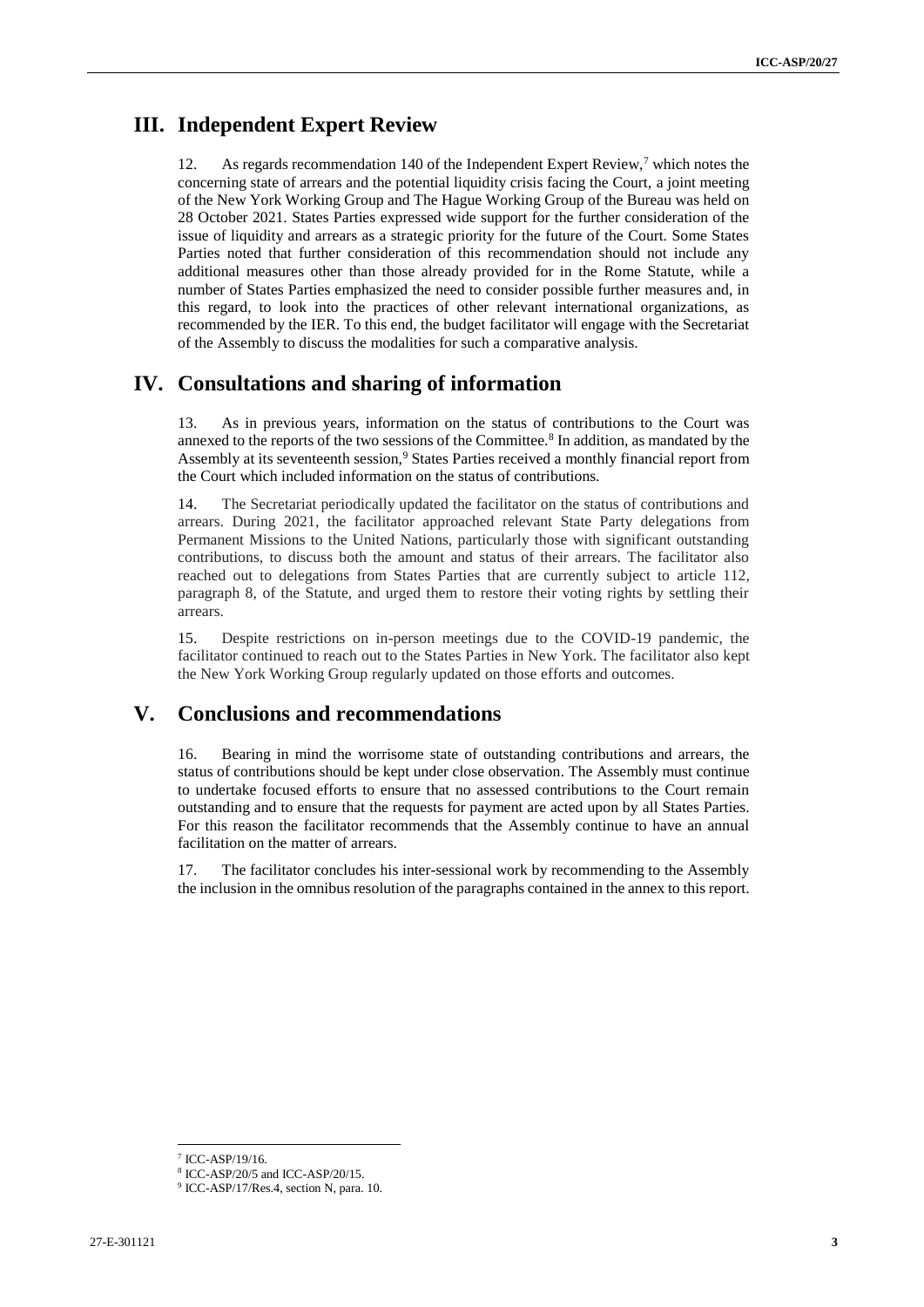#### **III. Independent Expert Review**

As regards recommendation 140 of the Independent Expert Review,<sup>7</sup> which notes the concerning state of arrears and the potential liquidity crisis facing the Court, a joint meeting of the New York Working Group and The Hague Working Group of the Bureau was held on 28 October 2021. States Parties expressed wide support for the further consideration of the issue of liquidity and arrears as a strategic priority for the future of the Court. Some States Parties noted that further consideration of this recommendation should not include any additional measures other than those already provided for in the Rome Statute, while a number of States Parties emphasized the need to consider possible further measures and, in this regard, to look into the practices of other relevant international organizations, as recommended by the IER. To this end, the budget facilitator will engage with the Secretariat of the Assembly to discuss the modalities for such a comparative analysis.

#### **IV. Consultations and sharing of information**

13. As in previous years, information on the status of contributions to the Court was annexed to the reports of the two sessions of the Committee.<sup>8</sup> In addition, as mandated by the Assembly at its seventeenth session,<sup>9</sup> States Parties received a monthly financial report from the Court which included information on the status of contributions.

14. The Secretariat periodically updated the facilitator on the status of contributions and arrears. During 2021, the facilitator approached relevant State Party delegations from Permanent Missions to the United Nations, particularly those with significant outstanding contributions, to discuss both the amount and status of their arrears. The facilitator also reached out to delegations from States Parties that are currently subject to article 112, paragraph 8, of the Statute, and urged them to restore their voting rights by settling their arrears.

15. Despite restrictions on in-person meetings due to the COVID-19 pandemic, the facilitator continued to reach out to the States Parties in New York. The facilitator also kept the New York Working Group regularly updated on those efforts and outcomes.

#### **V. Conclusions and recommendations**

16. Bearing in mind the worrisome state of outstanding contributions and arrears, the status of contributions should be kept under close observation. The Assembly must continue to undertake focused efforts to ensure that no assessed contributions to the Court remain outstanding and to ensure that the requests for payment are acted upon by all States Parties. For this reason the facilitator recommends that the Assembly continue to have an annual facilitation on the matter of arrears.

17. The facilitator concludes his inter-sessional work by recommending to the Assembly the inclusion in the omnibus resolution of the paragraphs contained in the annex to this report.

<sup>7</sup> ICC-ASP/19/16.

<sup>8</sup> ICC-ASP/20/5 and ICC-ASP/20/15.

<sup>9</sup> ICC-ASP/17/Res.4, section N, para. 10.